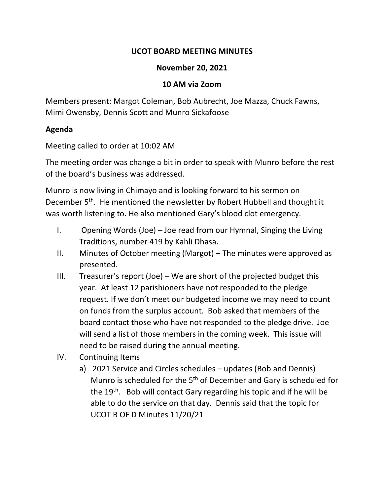## **UCOT BOARD MEETING MINUTES**

## **November 20, 2021**

## **10 AM via Zoom**

Members present: Margot Coleman, Bob Aubrecht, Joe Mazza, Chuck Fawns, Mimi Owensby, Dennis Scott and Munro Sickafoose

## **Agenda**

Meeting called to order at 10:02 AM

The meeting order was change a bit in order to speak with Munro before the rest of the board's business was addressed.

Munro is now living in Chimayo and is looking forward to his sermon on December 5<sup>th</sup>. He mentioned the newsletter by Robert Hubbell and thought it was worth listening to. He also mentioned Gary's blood clot emergency.

- I. Opening Words (Joe) Joe read from our Hymnal, Singing the Living Traditions, number 419 by Kahli Dhasa.
- II. Minutes of October meeting (Margot) The minutes were approved as presented.
- III. Treasurer's report (Joe) We are short of the projected budget this year. At least 12 parishioners have not responded to the pledge request. If we don't meet our budgeted income we may need to count on funds from the surplus account. Bob asked that members of the board contact those who have not responded to the pledge drive. Joe will send a list of those members in the coming week. This issue will need to be raised during the annual meeting.
- IV. Continuing Items
	- a) 2021 Service and Circles schedules updates (Bob and Dennis) Munro is scheduled for the 5th of December and Gary is scheduled for the 19th. Bob will contact Gary regarding his topic and if he will be able to do the service on that day. Dennis said that the topic for UCOT B OF D Minutes 11/20/21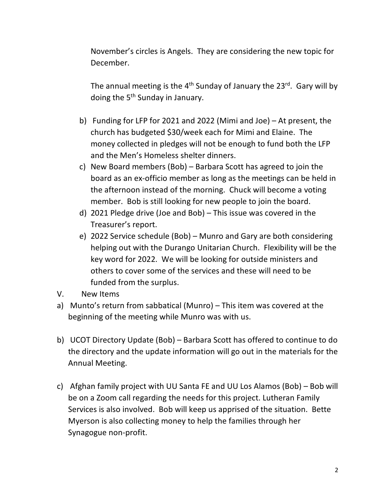November's circles is Angels. They are considering the new topic for December.

The annual meeting is the  $4<sup>th</sup>$  Sunday of January the 23<sup>rd</sup>. Gary will by doing the 5th Sunday in January.

- b) Funding for LFP for 2021 and 2022 (Mimi and Joe) At present, the church has budgeted \$30/week each for Mimi and Elaine. The money collected in pledges will not be enough to fund both the LFP and the Men's Homeless shelter dinners.
- c) New Board members (Bob) Barbara Scott has agreed to join the board as an ex-officio member as long as the meetings can be held in the afternoon instead of the morning. Chuck will become a voting member. Bob is still looking for new people to join the board.
- d) 2021 Pledge drive (Joe and Bob) This issue was covered in the Treasurer's report.
- e) 2022 Service schedule (Bob) Munro and Gary are both considering helping out with the Durango Unitarian Church. Flexibility will be the key word for 2022. We will be looking for outside ministers and others to cover some of the services and these will need to be funded from the surplus.
- V. New Items
- a) Munto's return from sabbatical (Munro) This item was covered at the beginning of the meeting while Munro was with us.
- b) UCOT Directory Update (Bob) Barbara Scott has offered to continue to do the directory and the update information will go out in the materials for the Annual Meeting.
- c) Afghan family project with UU Santa FE and UU Los Alamos (Bob) Bob will be on a Zoom call regarding the needs for this project. Lutheran Family Services is also involved. Bob will keep us apprised of the situation. Bette Myerson is also collecting money to help the families through her Synagogue non-profit.